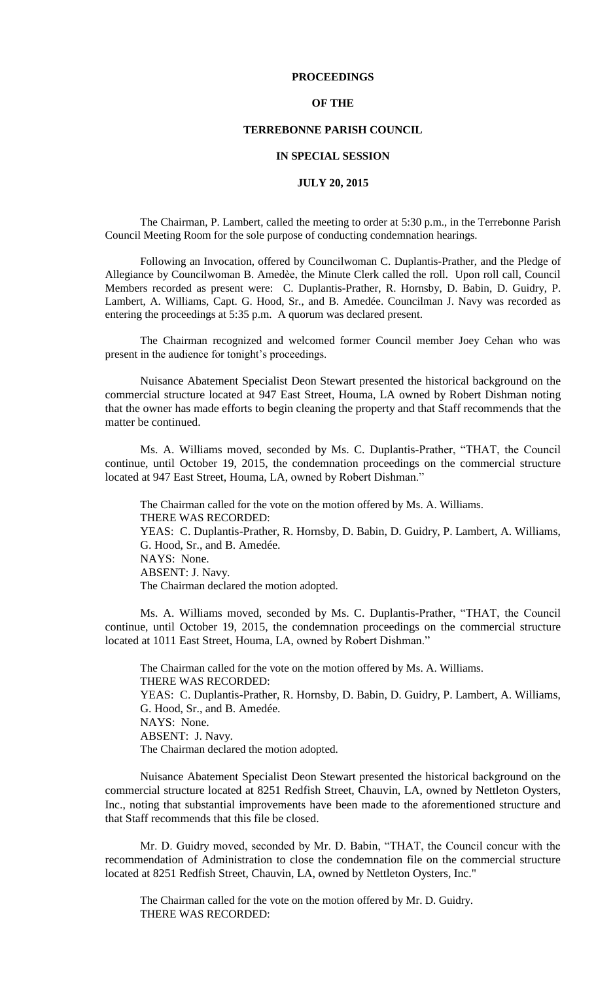### **PROCEEDINGS**

## **OF THE**

## **TERREBONNE PARISH COUNCIL**

#### **IN SPECIAL SESSION**

## **JULY 20, 2015**

The Chairman, P. Lambert, called the meeting to order at 5:30 p.m., in the Terrebonne Parish Council Meeting Room for the sole purpose of conducting condemnation hearings.

Following an Invocation, offered by Councilwoman C. Duplantis-Prather, and the Pledge of Allegiance by Councilwoman B. Amedèe, the Minute Clerk called the roll. Upon roll call, Council Members recorded as present were: C. Duplantis-Prather, R. Hornsby, D. Babin, D. Guidry, P. Lambert, A. Williams, Capt. G. Hood, Sr., and B. Amedée. Councilman J. Navy was recorded as entering the proceedings at 5:35 p.m. A quorum was declared present.

The Chairman recognized and welcomed former Council member Joey Cehan who was present in the audience for tonight's proceedings.

Nuisance Abatement Specialist Deon Stewart presented the historical background on the commercial structure located at 947 East Street, Houma, LA owned by Robert Dishman noting that the owner has made efforts to begin cleaning the property and that Staff recommends that the matter be continued.

Ms. A. Williams moved, seconded by Ms. C. Duplantis-Prather, "THAT, the Council continue, until October 19, 2015, the condemnation proceedings on the commercial structure located at 947 East Street, Houma, LA, owned by Robert Dishman."

The Chairman called for the vote on the motion offered by Ms. A. Williams. THERE WAS RECORDED: YEAS: C. Duplantis-Prather, R. Hornsby, D. Babin, D. Guidry, P. Lambert, A. Williams, G. Hood, Sr., and B. Amedée. NAYS: None. ABSENT: J. Navy. The Chairman declared the motion adopted.

Ms. A. Williams moved, seconded by Ms. C. Duplantis-Prather, "THAT, the Council continue, until October 19, 2015, the condemnation proceedings on the commercial structure located at 1011 East Street, Houma, LA, owned by Robert Dishman."

The Chairman called for the vote on the motion offered by Ms. A. Williams. THERE WAS RECORDED: YEAS: C. Duplantis-Prather, R. Hornsby, D. Babin, D. Guidry, P. Lambert, A. Williams, G. Hood, Sr., and B. Amedée. NAYS: None. ABSENT: J. Navy. The Chairman declared the motion adopted.

Nuisance Abatement Specialist Deon Stewart presented the historical background on the commercial structure located at 8251 Redfish Street, Chauvin, LA, owned by Nettleton Oysters, Inc., noting that substantial improvements have been made to the aforementioned structure and that Staff recommends that this file be closed.

Mr. D. Guidry moved, seconded by Mr. D. Babin, "THAT, the Council concur with the recommendation of Administration to close the condemnation file on the commercial structure located at 8251 Redfish Street, Chauvin, LA, owned by Nettleton Oysters, Inc."

The Chairman called for the vote on the motion offered by Mr. D. Guidry. THERE WAS RECORDED: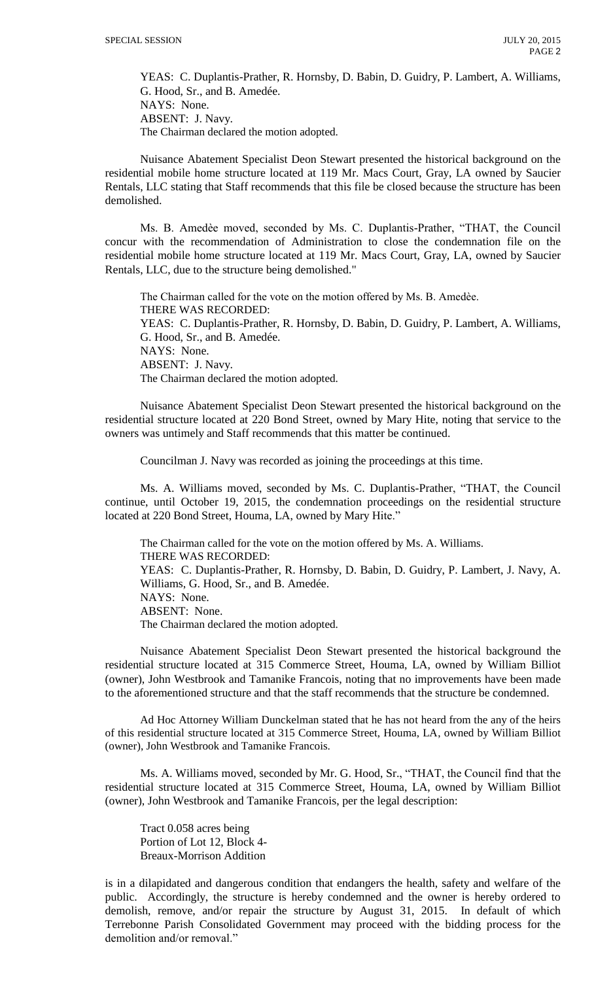YEAS: C. Duplantis-Prather, R. Hornsby, D. Babin, D. Guidry, P. Lambert, A. Williams, G. Hood, Sr., and B. Amedée. NAYS: None. ABSENT: J. Navy. The Chairman declared the motion adopted.

Nuisance Abatement Specialist Deon Stewart presented the historical background on the residential mobile home structure located at 119 Mr. Macs Court, Gray, LA owned by Saucier Rentals, LLC stating that Staff recommends that this file be closed because the structure has been demolished.

Ms. B. Amedèe moved, seconded by Ms. C. Duplantis-Prather, "THAT, the Council concur with the recommendation of Administration to close the condemnation file on the residential mobile home structure located at 119 Mr. Macs Court, Gray, LA, owned by Saucier Rentals, LLC, due to the structure being demolished."

The Chairman called for the vote on the motion offered by Ms. B. Amedèe. THERE WAS RECORDED: YEAS: C. Duplantis-Prather, R. Hornsby, D. Babin, D. Guidry, P. Lambert, A. Williams, G. Hood, Sr., and B. Amedée. NAYS: None. ABSENT: J. Navy. The Chairman declared the motion adopted.

Nuisance Abatement Specialist Deon Stewart presented the historical background on the residential structure located at 220 Bond Street, owned by Mary Hite, noting that service to the owners was untimely and Staff recommends that this matter be continued.

Councilman J. Navy was recorded as joining the proceedings at this time.

Ms. A. Williams moved, seconded by Ms. C. Duplantis-Prather, "THAT, the Council continue, until October 19, 2015, the condemnation proceedings on the residential structure located at 220 Bond Street, Houma, LA, owned by Mary Hite."

The Chairman called for the vote on the motion offered by Ms. A. Williams. THERE WAS RECORDED: YEAS: C. Duplantis-Prather, R. Hornsby, D. Babin, D. Guidry, P. Lambert, J. Navy, A. Williams, G. Hood, Sr., and B. Amedée. NAYS: None. ABSENT: None. The Chairman declared the motion adopted.

Nuisance Abatement Specialist Deon Stewart presented the historical background the residential structure located at 315 Commerce Street, Houma, LA, owned by William Billiot (owner), John Westbrook and Tamanike Francois, noting that no improvements have been made to the aforementioned structure and that the staff recommends that the structure be condemned.

Ad Hoc Attorney William Dunckelman stated that he has not heard from the any of the heirs of this residential structure located at 315 Commerce Street, Houma, LA, owned by William Billiot (owner), John Westbrook and Tamanike Francois.

Ms. A. Williams moved, seconded by Mr. G. Hood, Sr., "THAT, the Council find that the residential structure located at 315 Commerce Street, Houma, LA, owned by William Billiot (owner), John Westbrook and Tamanike Francois, per the legal description:

Tract 0.058 acres being Portion of Lot 12, Block 4- Breaux-Morrison Addition

is in a dilapidated and dangerous condition that endangers the health, safety and welfare of the public. Accordingly, the structure is hereby condemned and the owner is hereby ordered to demolish, remove, and/or repair the structure by August 31, 2015. In default of which Terrebonne Parish Consolidated Government may proceed with the bidding process for the demolition and/or removal."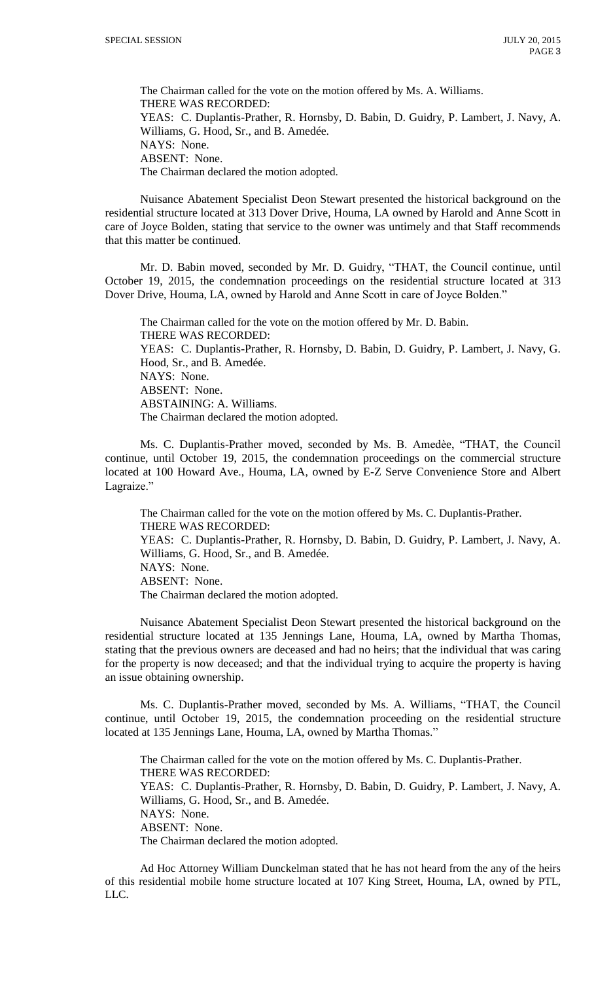The Chairman called for the vote on the motion offered by Ms. A. Williams. THERE WAS RECORDED: YEAS: C. Duplantis-Prather, R. Hornsby, D. Babin, D. Guidry, P. Lambert, J. Navy, A. Williams, G. Hood, Sr., and B. Amedée. NAYS: None. ABSENT: None. The Chairman declared the motion adopted.

Nuisance Abatement Specialist Deon Stewart presented the historical background on the residential structure located at 313 Dover Drive, Houma, LA owned by Harold and Anne Scott in care of Joyce Bolden, stating that service to the owner was untimely and that Staff recommends that this matter be continued.

Mr. D. Babin moved, seconded by Mr. D. Guidry, "THAT, the Council continue, until October 19, 2015, the condemnation proceedings on the residential structure located at 313 Dover Drive, Houma, LA, owned by Harold and Anne Scott in care of Joyce Bolden."

The Chairman called for the vote on the motion offered by Mr. D. Babin. THERE WAS RECORDED: YEAS: C. Duplantis-Prather, R. Hornsby, D. Babin, D. Guidry, P. Lambert, J. Navy, G. Hood, Sr., and B. Amedée. NAYS: None. ABSENT: None. ABSTAINING: A. Williams. The Chairman declared the motion adopted.

Ms. C. Duplantis-Prather moved, seconded by Ms. B. Amedèe, "THAT, the Council continue, until October 19, 2015, the condemnation proceedings on the commercial structure located at 100 Howard Ave., Houma, LA, owned by E-Z Serve Convenience Store and Albert Lagraize."

The Chairman called for the vote on the motion offered by Ms. C. Duplantis-Prather. THERE WAS RECORDED: YEAS: C. Duplantis-Prather, R. Hornsby, D. Babin, D. Guidry, P. Lambert, J. Navy, A. Williams, G. Hood, Sr., and B. Amedée. NAYS: None. ABSENT: None. The Chairman declared the motion adopted.

Nuisance Abatement Specialist Deon Stewart presented the historical background on the residential structure located at 135 Jennings Lane, Houma, LA, owned by Martha Thomas, stating that the previous owners are deceased and had no heirs; that the individual that was caring for the property is now deceased; and that the individual trying to acquire the property is having an issue obtaining ownership.

Ms. C. Duplantis-Prather moved, seconded by Ms. A. Williams, "THAT, the Council continue, until October 19, 2015, the condemnation proceeding on the residential structure located at 135 Jennings Lane, Houma, LA, owned by Martha Thomas."

The Chairman called for the vote on the motion offered by Ms. C. Duplantis-Prather. THERE WAS RECORDED: YEAS: C. Duplantis-Prather, R. Hornsby, D. Babin, D. Guidry, P. Lambert, J. Navy, A. Williams, G. Hood, Sr., and B. Amedée. NAYS: None. ABSENT: None. The Chairman declared the motion adopted.

Ad Hoc Attorney William Dunckelman stated that he has not heard from the any of the heirs of this residential mobile home structure located at 107 King Street, Houma, LA, owned by PTL, LLC.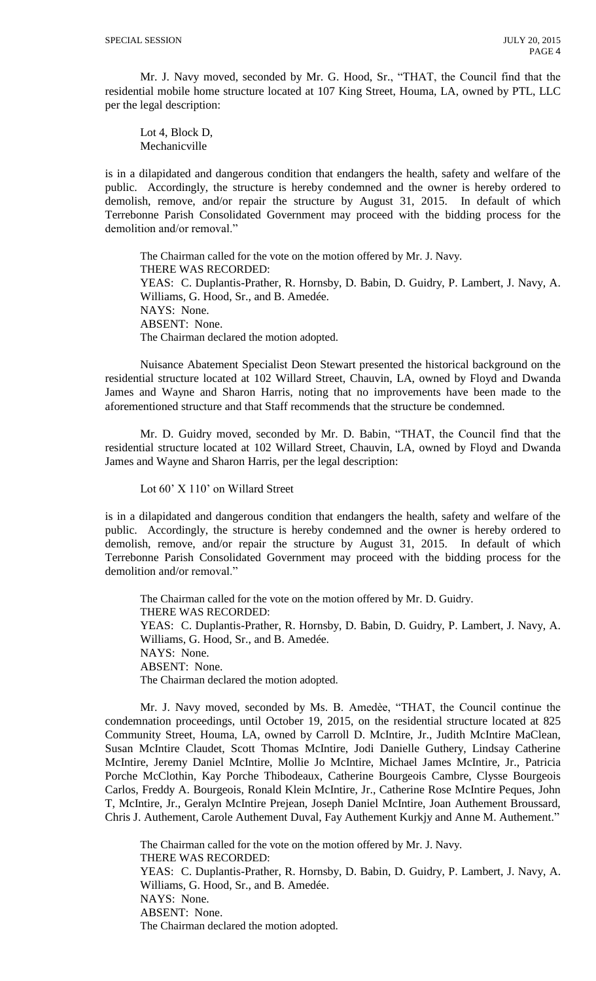Mr. J. Navy moved, seconded by Mr. G. Hood, Sr., "THAT, the Council find that the residential mobile home structure located at 107 King Street, Houma, LA, owned by PTL, LLC per the legal description:

Lot 4, Block D, Mechanicville

is in a dilapidated and dangerous condition that endangers the health, safety and welfare of the public. Accordingly, the structure is hereby condemned and the owner is hereby ordered to demolish, remove, and/or repair the structure by August 31, 2015. In default of which Terrebonne Parish Consolidated Government may proceed with the bidding process for the demolition and/or removal."

The Chairman called for the vote on the motion offered by Mr. J. Navy. THERE WAS RECORDED: YEAS: C. Duplantis-Prather, R. Hornsby, D. Babin, D. Guidry, P. Lambert, J. Navy, A. Williams, G. Hood, Sr., and B. Amedée. NAYS: None. ABSENT: None. The Chairman declared the motion adopted.

Nuisance Abatement Specialist Deon Stewart presented the historical background on the residential structure located at 102 Willard Street, Chauvin, LA, owned by Floyd and Dwanda James and Wayne and Sharon Harris, noting that no improvements have been made to the aforementioned structure and that Staff recommends that the structure be condemned.

Mr. D. Guidry moved, seconded by Mr. D. Babin, "THAT, the Council find that the residential structure located at 102 Willard Street, Chauvin, LA, owned by Floyd and Dwanda James and Wayne and Sharon Harris, per the legal description:

Lot 60' X 110' on Willard Street

is in a dilapidated and dangerous condition that endangers the health, safety and welfare of the public. Accordingly, the structure is hereby condemned and the owner is hereby ordered to demolish, remove, and/or repair the structure by August 31, 2015. In default of which Terrebonne Parish Consolidated Government may proceed with the bidding process for the demolition and/or removal."

The Chairman called for the vote on the motion offered by Mr. D. Guidry. THERE WAS RECORDED: YEAS: C. Duplantis-Prather, R. Hornsby, D. Babin, D. Guidry, P. Lambert, J. Navy, A. Williams, G. Hood, Sr., and B. Amedée. NAYS: None. ABSENT: None. The Chairman declared the motion adopted.

Mr. J. Navy moved, seconded by Ms. B. Amedèe, "THAT, the Council continue the condemnation proceedings, until October 19, 2015, on the residential structure located at 825 Community Street, Houma, LA, owned by Carroll D. McIntire, Jr., Judith McIntire MaClean, Susan McIntire Claudet, Scott Thomas McIntire, Jodi Danielle Guthery, Lindsay Catherine McIntire, Jeremy Daniel McIntire, Mollie Jo McIntire, Michael James McIntire, Jr., Patricia Porche McClothin, Kay Porche Thibodeaux, Catherine Bourgeois Cambre, Clysse Bourgeois Carlos, Freddy A. Bourgeois, Ronald Klein McIntire, Jr., Catherine Rose McIntire Peques, John T, McIntire, Jr., Geralyn McIntire Prejean, Joseph Daniel McIntire, Joan Authement Broussard, Chris J. Authement, Carole Authement Duval, Fay Authement Kurkjy and Anne M. Authement."

The Chairman called for the vote on the motion offered by Mr. J. Navy. THERE WAS RECORDED: YEAS: C. Duplantis-Prather, R. Hornsby, D. Babin, D. Guidry, P. Lambert, J. Navy, A. Williams, G. Hood, Sr., and B. Amedée. NAYS: None. ABSENT: None. The Chairman declared the motion adopted.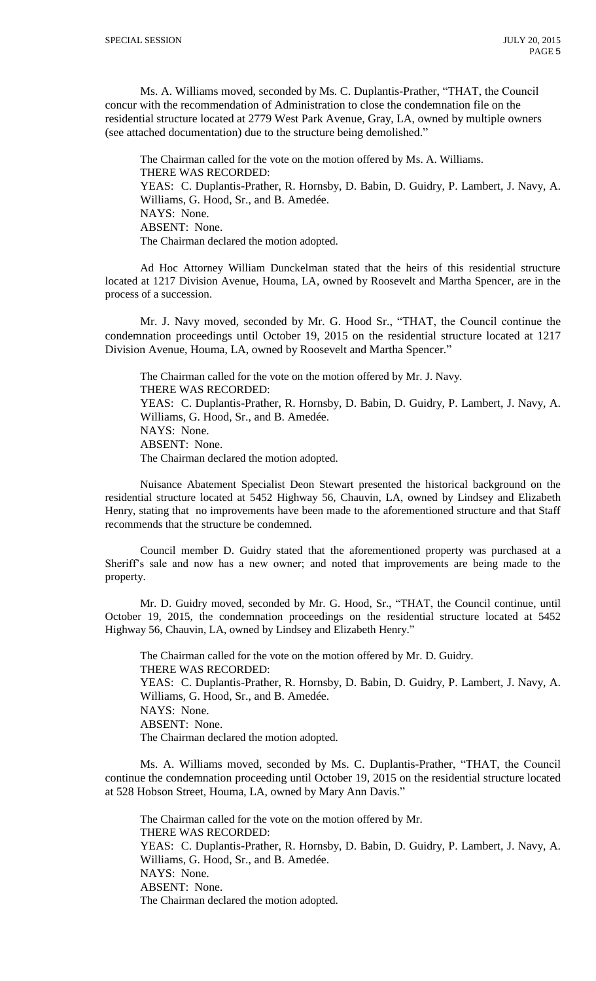Ms. A. Williams moved, seconded by Ms. C. Duplantis-Prather, "THAT, the Council concur with the recommendation of Administration to close the condemnation file on the residential structure located at 2779 West Park Avenue, Gray, LA, owned by multiple owners (see attached documentation) due to the structure being demolished."

The Chairman called for the vote on the motion offered by Ms. A. Williams. THERE WAS RECORDED: YEAS: C. Duplantis-Prather, R. Hornsby, D. Babin, D. Guidry, P. Lambert, J. Navy, A. Williams, G. Hood, Sr., and B. Amedée. NAYS: None. ABSENT: None. The Chairman declared the motion adopted.

Ad Hoc Attorney William Dunckelman stated that the heirs of this residential structure located at 1217 Division Avenue, Houma, LA, owned by Roosevelt and Martha Spencer, are in the process of a succession.

Mr. J. Navy moved, seconded by Mr. G. Hood Sr., "THAT, the Council continue the condemnation proceedings until October 19, 2015 on the residential structure located at 1217 Division Avenue, Houma, LA, owned by Roosevelt and Martha Spencer."

The Chairman called for the vote on the motion offered by Mr. J. Navy. THERE WAS RECORDED: YEAS: C. Duplantis-Prather, R. Hornsby, D. Babin, D. Guidry, P. Lambert, J. Navy, A. Williams, G. Hood, Sr., and B. Amedée. NAYS: None. ABSENT: None. The Chairman declared the motion adopted.

Nuisance Abatement Specialist Deon Stewart presented the historical background on the residential structure located at 5452 Highway 56, Chauvin, LA, owned by Lindsey and Elizabeth Henry, stating that no improvements have been made to the aforementioned structure and that Staff recommends that the structure be condemned.

Council member D. Guidry stated that the aforementioned property was purchased at a Sheriff's sale and now has a new owner; and noted that improvements are being made to the property.

Mr. D. Guidry moved, seconded by Mr. G. Hood, Sr., "THAT, the Council continue, until October 19, 2015, the condemnation proceedings on the residential structure located at 5452 Highway 56, Chauvin, LA, owned by Lindsey and Elizabeth Henry."

The Chairman called for the vote on the motion offered by Mr. D. Guidry. THERE WAS RECORDED: YEAS: C. Duplantis-Prather, R. Hornsby, D. Babin, D. Guidry, P. Lambert, J. Navy, A. Williams, G. Hood, Sr., and B. Amedée. NAYS: None. ABSENT: None. The Chairman declared the motion adopted.

Ms. A. Williams moved, seconded by Ms. C. Duplantis-Prather, "THAT, the Council continue the condemnation proceeding until October 19, 2015 on the residential structure located at 528 Hobson Street, Houma, LA, owned by Mary Ann Davis."

The Chairman called for the vote on the motion offered by Mr. THERE WAS RECORDED: YEAS: C. Duplantis-Prather, R. Hornsby, D. Babin, D. Guidry, P. Lambert, J. Navy, A. Williams, G. Hood, Sr., and B. Amedée. NAYS: None. ABSENT: None. The Chairman declared the motion adopted.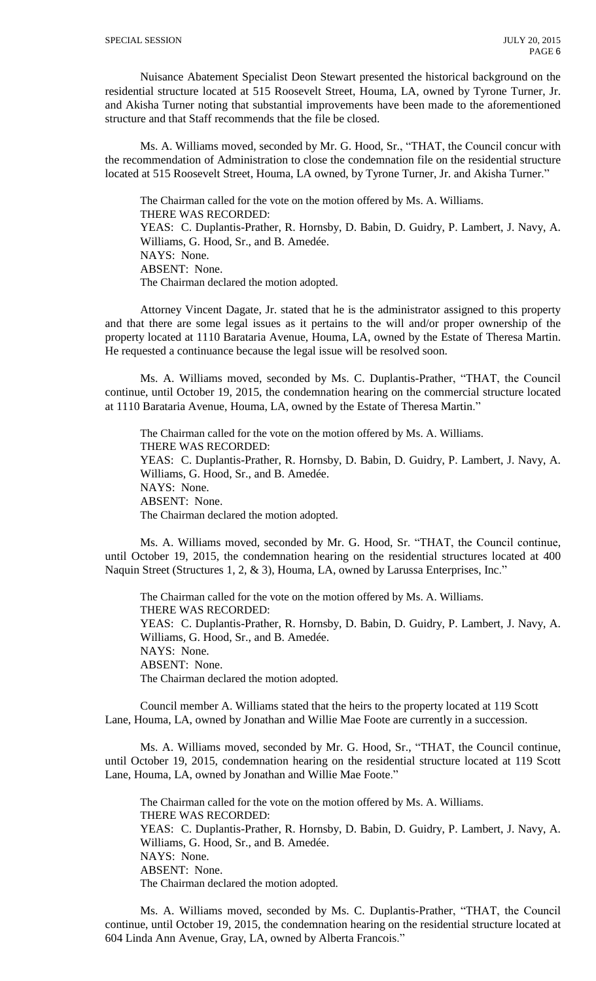Nuisance Abatement Specialist Deon Stewart presented the historical background on the residential structure located at 515 Roosevelt Street, Houma, LA, owned by Tyrone Turner, Jr. and Akisha Turner noting that substantial improvements have been made to the aforementioned structure and that Staff recommends that the file be closed.

Ms. A. Williams moved, seconded by Mr. G. Hood, Sr., "THAT, the Council concur with the recommendation of Administration to close the condemnation file on the residential structure located at 515 Roosevelt Street, Houma, LA owned, by Tyrone Turner, Jr. and Akisha Turner."

The Chairman called for the vote on the motion offered by Ms. A. Williams. THERE WAS RECORDED: YEAS: C. Duplantis-Prather, R. Hornsby, D. Babin, D. Guidry, P. Lambert, J. Navy, A. Williams, G. Hood, Sr., and B. Amedée. NAYS: None. ABSENT: None. The Chairman declared the motion adopted.

Attorney Vincent Dagate, Jr. stated that he is the administrator assigned to this property and that there are some legal issues as it pertains to the will and/or proper ownership of the property located at 1110 Barataria Avenue, Houma, LA, owned by the Estate of Theresa Martin. He requested a continuance because the legal issue will be resolved soon.

Ms. A. Williams moved, seconded by Ms. C. Duplantis-Prather, "THAT, the Council continue, until October 19, 2015, the condemnation hearing on the commercial structure located at 1110 Barataria Avenue, Houma, LA, owned by the Estate of Theresa Martin."

The Chairman called for the vote on the motion offered by Ms. A. Williams. THERE WAS RECORDED: YEAS: C. Duplantis-Prather, R. Hornsby, D. Babin, D. Guidry, P. Lambert, J. Navy, A. Williams, G. Hood, Sr., and B. Amedée. NAYS: None. ABSENT: None. The Chairman declared the motion adopted.

Ms. A. Williams moved, seconded by Mr. G. Hood, Sr. "THAT, the Council continue, until October 19, 2015, the condemnation hearing on the residential structures located at 400 Naquin Street (Structures 1, 2, & 3), Houma, LA, owned by Larussa Enterprises, Inc."

The Chairman called for the vote on the motion offered by Ms. A. Williams. THERE WAS RECORDED: YEAS: C. Duplantis-Prather, R. Hornsby, D. Babin, D. Guidry, P. Lambert, J. Navy, A. Williams, G. Hood, Sr., and B. Amedée. NAYS: None. ABSENT: None. The Chairman declared the motion adopted.

Council member A. Williams stated that the heirs to the property located at 119 Scott Lane, Houma, LA, owned by Jonathan and Willie Mae Foote are currently in a succession.

Ms. A. Williams moved, seconded by Mr. G. Hood, Sr., "THAT, the Council continue, until October 19, 2015, condemnation hearing on the residential structure located at 119 Scott Lane, Houma, LA, owned by Jonathan and Willie Mae Foote."

The Chairman called for the vote on the motion offered by Ms. A. Williams. THERE WAS RECORDED: YEAS: C. Duplantis-Prather, R. Hornsby, D. Babin, D. Guidry, P. Lambert, J. Navy, A. Williams, G. Hood, Sr., and B. Amedée. NAYS: None. ABSENT: None. The Chairman declared the motion adopted.

Ms. A. Williams moved, seconded by Ms. C. Duplantis-Prather, "THAT, the Council continue, until October 19, 2015, the condemnation hearing on the residential structure located at 604 Linda Ann Avenue, Gray, LA, owned by Alberta Francois."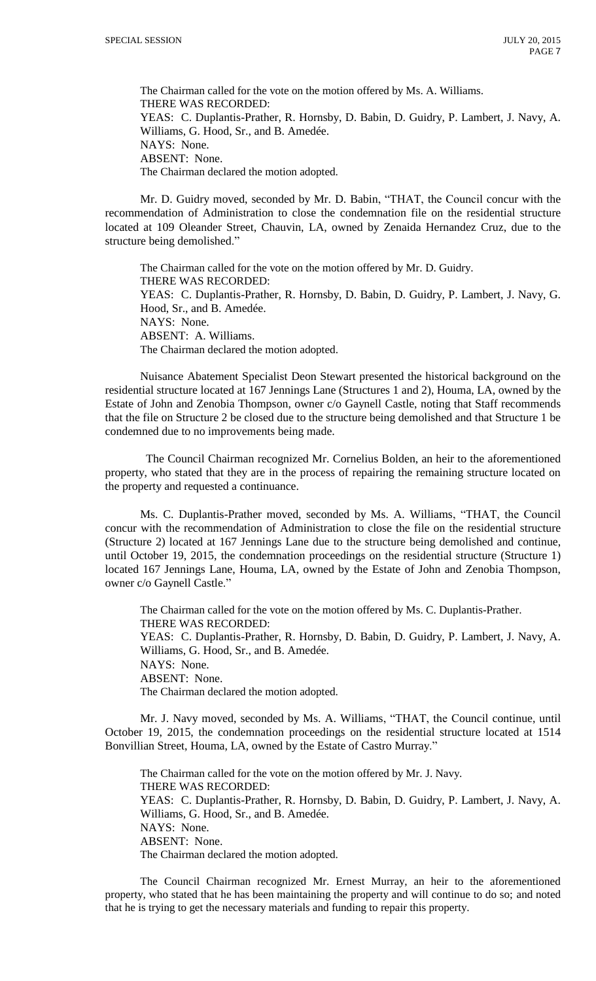The Chairman called for the vote on the motion offered by Ms. A. Williams. THERE WAS RECORDED: YEAS: C. Duplantis-Prather, R. Hornsby, D. Babin, D. Guidry, P. Lambert, J. Navy, A. Williams, G. Hood, Sr., and B. Amedée. NAYS: None. ABSENT: None. The Chairman declared the motion adopted.

Mr. D. Guidry moved, seconded by Mr. D. Babin, "THAT, the Council concur with the recommendation of Administration to close the condemnation file on the residential structure located at 109 Oleander Street, Chauvin, LA, owned by Zenaida Hernandez Cruz, due to the structure being demolished."

The Chairman called for the vote on the motion offered by Mr. D. Guidry. THERE WAS RECORDED: YEAS: C. Duplantis-Prather, R. Hornsby, D. Babin, D. Guidry, P. Lambert, J. Navy, G. Hood, Sr., and B. Amedée. NAYS: None. ABSENT: A. Williams. The Chairman declared the motion adopted.

Nuisance Abatement Specialist Deon Stewart presented the historical background on the residential structure located at 167 Jennings Lane (Structures 1 and 2), Houma, LA, owned by the Estate of John and Zenobia Thompson, owner c/o Gaynell Castle, noting that Staff recommends that the file on Structure 2 be closed due to the structure being demolished and that Structure 1 be condemned due to no improvements being made.

The Council Chairman recognized Mr. Cornelius Bolden, an heir to the aforementioned property, who stated that they are in the process of repairing the remaining structure located on the property and requested a continuance.

Ms. C. Duplantis-Prather moved, seconded by Ms. A. Williams, "THAT, the Council concur with the recommendation of Administration to close the file on the residential structure (Structure 2) located at 167 Jennings Lane due to the structure being demolished and continue, until October 19, 2015, the condemnation proceedings on the residential structure (Structure 1) located 167 Jennings Lane, Houma, LA, owned by the Estate of John and Zenobia Thompson, owner c/o Gaynell Castle."

The Chairman called for the vote on the motion offered by Ms. C. Duplantis-Prather. THERE WAS RECORDED: YEAS: C. Duplantis-Prather, R. Hornsby, D. Babin, D. Guidry, P. Lambert, J. Navy, A. Williams, G. Hood, Sr., and B. Amedée. NAYS: None. ABSENT: None. The Chairman declared the motion adopted.

Mr. J. Navy moved, seconded by Ms. A. Williams, "THAT, the Council continue, until October 19, 2015, the condemnation proceedings on the residential structure located at 1514 Bonvillian Street, Houma, LA, owned by the Estate of Castro Murray."

The Chairman called for the vote on the motion offered by Mr. J. Navy. THERE WAS RECORDED: YEAS: C. Duplantis-Prather, R. Hornsby, D. Babin, D. Guidry, P. Lambert, J. Navy, A. Williams, G. Hood, Sr., and B. Amedée. NAYS: None. ABSENT: None. The Chairman declared the motion adopted.

The Council Chairman recognized Mr. Ernest Murray, an heir to the aforementioned property, who stated that he has been maintaining the property and will continue to do so; and noted that he is trying to get the necessary materials and funding to repair this property.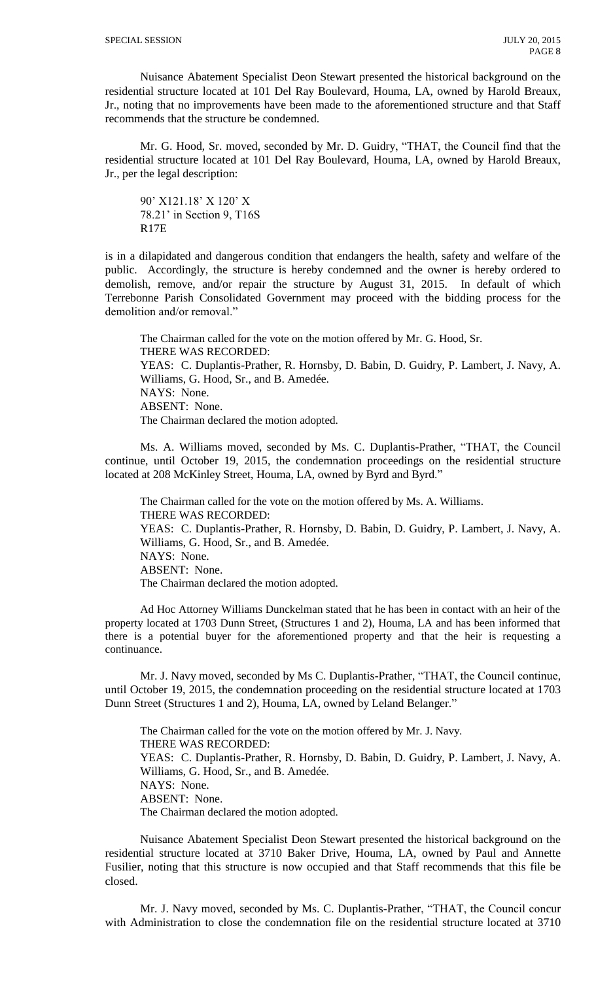Nuisance Abatement Specialist Deon Stewart presented the historical background on the residential structure located at 101 Del Ray Boulevard, Houma, LA, owned by Harold Breaux, Jr., noting that no improvements have been made to the aforementioned structure and that Staff recommends that the structure be condemned.

Mr. G. Hood, Sr. moved, seconded by Mr. D. Guidry, "THAT, the Council find that the residential structure located at 101 Del Ray Boulevard, Houma, LA, owned by Harold Breaux, Jr., per the legal description:

90' X121.18' X 120' X 78.21' in Section 9, T16S R17E

is in a dilapidated and dangerous condition that endangers the health, safety and welfare of the public. Accordingly, the structure is hereby condemned and the owner is hereby ordered to demolish, remove, and/or repair the structure by August 31, 2015. In default of which Terrebonne Parish Consolidated Government may proceed with the bidding process for the demolition and/or removal."

The Chairman called for the vote on the motion offered by Mr. G. Hood, Sr. THERE WAS RECORDED: YEAS: C. Duplantis-Prather, R. Hornsby, D. Babin, D. Guidry, P. Lambert, J. Navy, A. Williams, G. Hood, Sr., and B. Amedée. NAYS: None. ABSENT: None. The Chairman declared the motion adopted.

Ms. A. Williams moved, seconded by Ms. C. Duplantis-Prather, "THAT, the Council continue, until October 19, 2015, the condemnation proceedings on the residential structure located at 208 McKinley Street, Houma, LA, owned by Byrd and Byrd."

The Chairman called for the vote on the motion offered by Ms. A. Williams. THERE WAS RECORDED: YEAS: C. Duplantis-Prather, R. Hornsby, D. Babin, D. Guidry, P. Lambert, J. Navy, A. Williams, G. Hood, Sr., and B. Amedée. NAYS: None. ABSENT: None. The Chairman declared the motion adopted.

Ad Hoc Attorney Williams Dunckelman stated that he has been in contact with an heir of the property located at 1703 Dunn Street, (Structures 1 and 2), Houma, LA and has been informed that there is a potential buyer for the aforementioned property and that the heir is requesting a continuance.

Mr. J. Navy moved, seconded by Ms C. Duplantis-Prather, "THAT, the Council continue, until October 19, 2015, the condemnation proceeding on the residential structure located at 1703 Dunn Street (Structures 1 and 2), Houma, LA, owned by Leland Belanger."

The Chairman called for the vote on the motion offered by Mr. J. Navy. THERE WAS RECORDED: YEAS: C. Duplantis-Prather, R. Hornsby, D. Babin, D. Guidry, P. Lambert, J. Navy, A. Williams, G. Hood, Sr., and B. Amedée. NAYS: None. ABSENT: None. The Chairman declared the motion adopted.

Nuisance Abatement Specialist Deon Stewart presented the historical background on the residential structure located at 3710 Baker Drive, Houma, LA, owned by Paul and Annette Fusilier, noting that this structure is now occupied and that Staff recommends that this file be closed.

Mr. J. Navy moved, seconded by Ms. C. Duplantis-Prather, "THAT, the Council concur with Administration to close the condemnation file on the residential structure located at 3710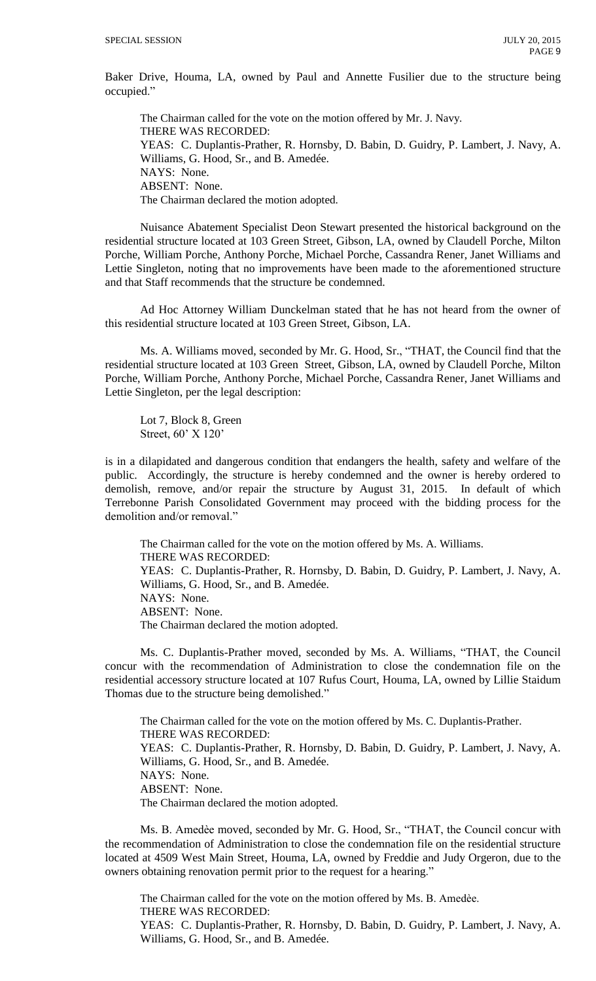Baker Drive, Houma, LA, owned by Paul and Annette Fusilier due to the structure being occupied."

The Chairman called for the vote on the motion offered by Mr. J. Navy. THERE WAS RECORDED: YEAS: C. Duplantis-Prather, R. Hornsby, D. Babin, D. Guidry, P. Lambert, J. Navy, A. Williams, G. Hood, Sr., and B. Amedée. NAYS: None. ABSENT: None. The Chairman declared the motion adopted.

Nuisance Abatement Specialist Deon Stewart presented the historical background on the residential structure located at 103 Green Street, Gibson, LA, owned by Claudell Porche, Milton Porche, William Porche, Anthony Porche, Michael Porche, Cassandra Rener, Janet Williams and Lettie Singleton, noting that no improvements have been made to the aforementioned structure and that Staff recommends that the structure be condemned.

Ad Hoc Attorney William Dunckelman stated that he has not heard from the owner of this residential structure located at 103 Green Street, Gibson, LA.

Ms. A. Williams moved, seconded by Mr. G. Hood, Sr., "THAT, the Council find that the residential structure located at 103 Green Street, Gibson, LA, owned by Claudell Porche, Milton Porche, William Porche, Anthony Porche, Michael Porche, Cassandra Rener, Janet Williams and Lettie Singleton, per the legal description:

Lot 7, Block 8, Green Street, 60' X 120'

is in a dilapidated and dangerous condition that endangers the health, safety and welfare of the public. Accordingly, the structure is hereby condemned and the owner is hereby ordered to demolish, remove, and/or repair the structure by August 31, 2015. In default of which Terrebonne Parish Consolidated Government may proceed with the bidding process for the demolition and/or removal."

The Chairman called for the vote on the motion offered by Ms. A. Williams. THERE WAS RECORDED: YEAS: C. Duplantis-Prather, R. Hornsby, D. Babin, D. Guidry, P. Lambert, J. Navy, A. Williams, G. Hood, Sr., and B. Amedée. NAYS: None. ABSENT: None. The Chairman declared the motion adopted.

Ms. C. Duplantis-Prather moved, seconded by Ms. A. Williams, "THAT, the Council concur with the recommendation of Administration to close the condemnation file on the residential accessory structure located at 107 Rufus Court, Houma, LA, owned by Lillie Staidum Thomas due to the structure being demolished."

The Chairman called for the vote on the motion offered by Ms. C. Duplantis-Prather. THERE WAS RECORDED: YEAS: C. Duplantis-Prather, R. Hornsby, D. Babin, D. Guidry, P. Lambert, J. Navy, A. Williams, G. Hood, Sr., and B. Amedée. NAYS: None. ABSENT: None. The Chairman declared the motion adopted.

Ms. B. Amedèe moved, seconded by Mr. G. Hood, Sr., "THAT, the Council concur with the recommendation of Administration to close the condemnation file on the residential structure located at 4509 West Main Street, Houma, LA, owned by Freddie and Judy Orgeron, due to the owners obtaining renovation permit prior to the request for a hearing."

The Chairman called for the vote on the motion offered by Ms. B. Amedèe. THERE WAS RECORDED: YEAS: C. Duplantis-Prather, R. Hornsby, D. Babin, D. Guidry, P. Lambert, J. Navy, A. Williams, G. Hood, Sr., and B. Amedée.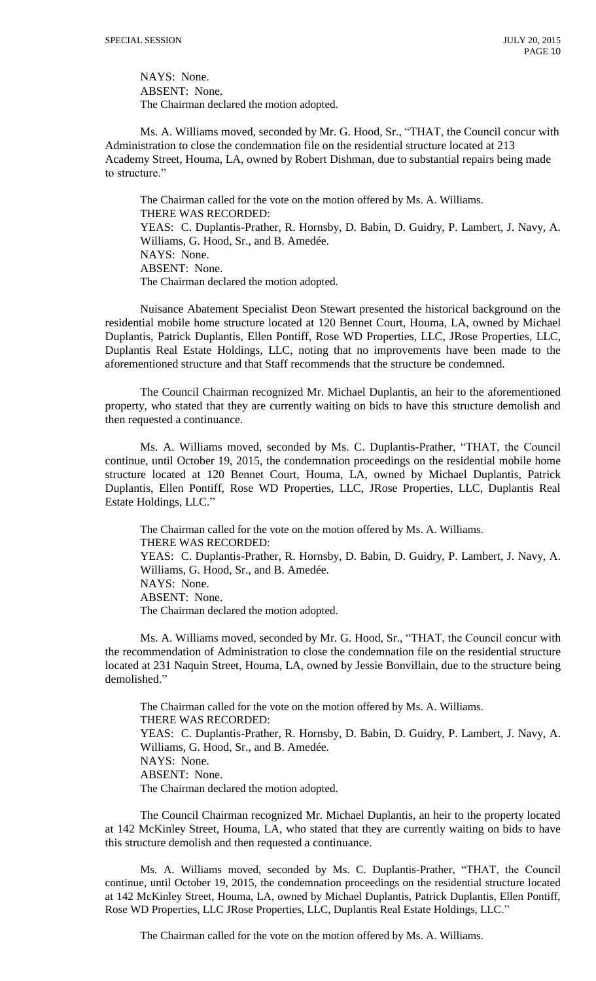NAYS: None. ABSENT: None. The Chairman declared the motion adopted.

Ms. A. Williams moved, seconded by Mr. G. Hood, Sr., "THAT, the Council concur with Administration to close the condemnation file on the residential structure located at 213 Academy Street, Houma, LA, owned by Robert Dishman, due to substantial repairs being made to structure."

The Chairman called for the vote on the motion offered by Ms. A. Williams. THERE WAS RECORDED: YEAS: C. Duplantis-Prather, R. Hornsby, D. Babin, D. Guidry, P. Lambert, J. Navy, A. Williams, G. Hood, Sr., and B. Amedée. NAYS: None. ABSENT: None. The Chairman declared the motion adopted.

Nuisance Abatement Specialist Deon Stewart presented the historical background on the residential mobile home structure located at 120 Bennet Court, Houma, LA, owned by Michael Duplantis, Patrick Duplantis, Ellen Pontiff, Rose WD Properties, LLC, JRose Properties, LLC, Duplantis Real Estate Holdings, LLC, noting that no improvements have been made to the aforementioned structure and that Staff recommends that the structure be condemned.

The Council Chairman recognized Mr. Michael Duplantis, an heir to the aforementioned property, who stated that they are currently waiting on bids to have this structure demolish and then requested a continuance.

Ms. A. Williams moved, seconded by Ms. C. Duplantis-Prather, "THAT, the Council continue, until October 19, 2015, the condemnation proceedings on the residential mobile home structure located at 120 Bennet Court, Houma, LA, owned by Michael Duplantis, Patrick Duplantis, Ellen Pontiff, Rose WD Properties, LLC, JRose Properties, LLC, Duplantis Real Estate Holdings, LLC."

The Chairman called for the vote on the motion offered by Ms. A. Williams. THERE WAS RECORDED: YEAS: C. Duplantis-Prather, R. Hornsby, D. Babin, D. Guidry, P. Lambert, J. Navy, A. Williams, G. Hood, Sr., and B. Amedée. NAYS: None. ABSENT: None. The Chairman declared the motion adopted.

Ms. A. Williams moved, seconded by Mr. G. Hood, Sr., "THAT, the Council concur with the recommendation of Administration to close the condemnation file on the residential structure located at 231 Naquin Street, Houma, LA, owned by Jessie Bonvillain, due to the structure being demolished."

The Chairman called for the vote on the motion offered by Ms. A. Williams. THERE WAS RECORDED: YEAS: C. Duplantis-Prather, R. Hornsby, D. Babin, D. Guidry, P. Lambert, J. Navy, A. Williams, G. Hood, Sr., and B. Amedée. NAYS: None. ABSENT: None. The Chairman declared the motion adopted.

The Council Chairman recognized Mr. Michael Duplantis, an heir to the property located at 142 McKinley Street, Houma, LA, who stated that they are currently waiting on bids to have this structure demolish and then requested a continuance.

Ms. A. Williams moved, seconded by Ms. C. Duplantis-Prather, "THAT, the Council continue, until October 19, 2015, the condemnation proceedings on the residential structure located at 142 McKinley Street, Houma, LA, owned by Michael Duplantis, Patrick Duplantis, Ellen Pontiff, Rose WD Properties, LLC JRose Properties, LLC, Duplantis Real Estate Holdings, LLC."

The Chairman called for the vote on the motion offered by Ms. A. Williams.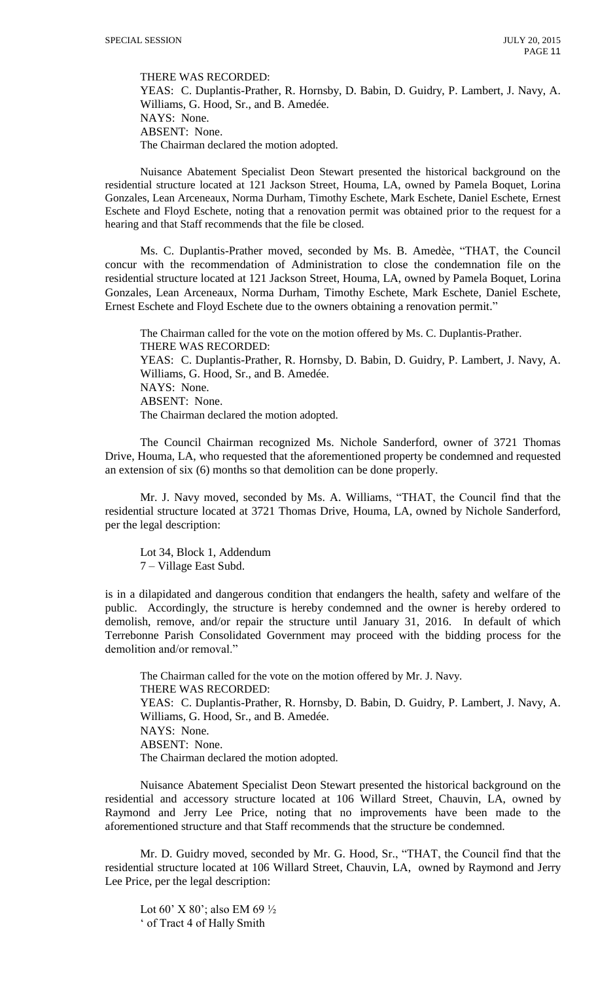THERE WAS RECORDED:

YEAS: C. Duplantis-Prather, R. Hornsby, D. Babin, D. Guidry, P. Lambert, J. Navy, A. Williams, G. Hood, Sr., and B. Amedée. NAYS: None. ABSENT: None. The Chairman declared the motion adopted.

Nuisance Abatement Specialist Deon Stewart presented the historical background on the residential structure located at 121 Jackson Street, Houma, LA, owned by Pamela Boquet, Lorina Gonzales, Lean Arceneaux, Norma Durham, Timothy Eschete, Mark Eschete, Daniel Eschete, Ernest Eschete and Floyd Eschete, noting that a renovation permit was obtained prior to the request for a hearing and that Staff recommends that the file be closed.

Ms. C. Duplantis-Prather moved, seconded by Ms. B. Amedèe, "THAT, the Council concur with the recommendation of Administration to close the condemnation file on the residential structure located at 121 Jackson Street, Houma, LA, owned by Pamela Boquet, Lorina Gonzales, Lean Arceneaux, Norma Durham, Timothy Eschete, Mark Eschete, Daniel Eschete, Ernest Eschete and Floyd Eschete due to the owners obtaining a renovation permit."

The Chairman called for the vote on the motion offered by Ms. C. Duplantis-Prather. THERE WAS RECORDED: YEAS: C. Duplantis-Prather, R. Hornsby, D. Babin, D. Guidry, P. Lambert, J. Navy, A. Williams, G. Hood, Sr., and B. Amedée. NAYS: None. ABSENT: None. The Chairman declared the motion adopted.

The Council Chairman recognized Ms. Nichole Sanderford, owner of 3721 Thomas Drive, Houma, LA, who requested that the aforementioned property be condemned and requested an extension of six (6) months so that demolition can be done properly.

Mr. J. Navy moved, seconded by Ms. A. Williams, "THAT, the Council find that the residential structure located at 3721 Thomas Drive, Houma, LA, owned by Nichole Sanderford, per the legal description:

Lot 34, Block 1, Addendum 7 – Village East Subd.

is in a dilapidated and dangerous condition that endangers the health, safety and welfare of the public. Accordingly, the structure is hereby condemned and the owner is hereby ordered to demolish, remove, and/or repair the structure until January 31, 2016. In default of which Terrebonne Parish Consolidated Government may proceed with the bidding process for the demolition and/or removal."

The Chairman called for the vote on the motion offered by Mr. J. Navy. THERE WAS RECORDED: YEAS: C. Duplantis-Prather, R. Hornsby, D. Babin, D. Guidry, P. Lambert, J. Navy, A. Williams, G. Hood, Sr., and B. Amedée. NAYS: None. ABSENT: None. The Chairman declared the motion adopted.

Nuisance Abatement Specialist Deon Stewart presented the historical background on the residential and accessory structure located at 106 Willard Street, Chauvin, LA, owned by Raymond and Jerry Lee Price, noting that no improvements have been made to the aforementioned structure and that Staff recommends that the structure be condemned.

Mr. D. Guidry moved, seconded by Mr. G. Hood, Sr., "THAT, the Council find that the residential structure located at 106 Willard Street, Chauvin, LA, owned by Raymond and Jerry Lee Price, per the legal description:

Lot 60' X 80'; also EM 69 $\frac{1}{2}$ ' of Tract 4 of Hally Smith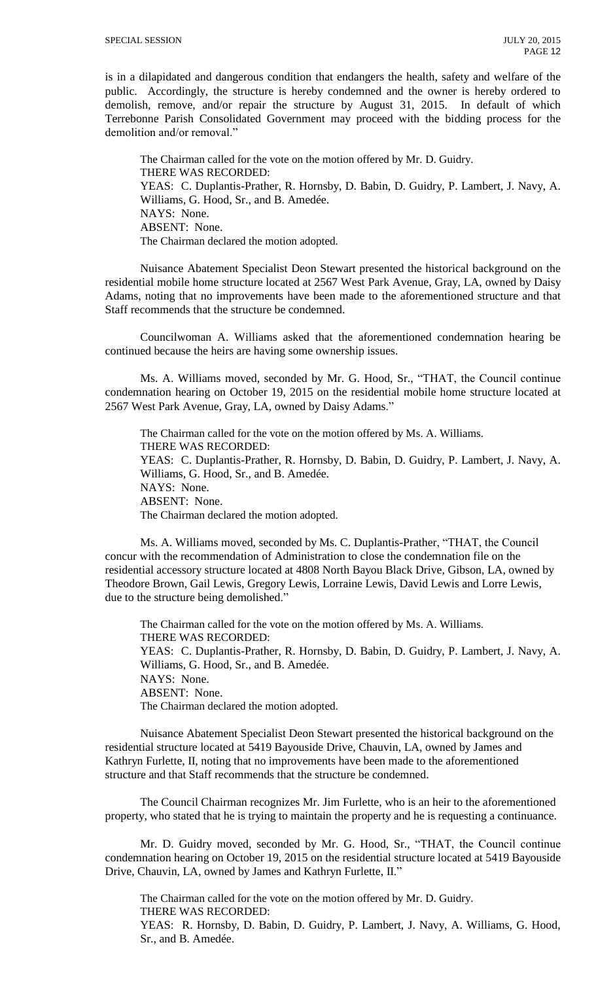is in a dilapidated and dangerous condition that endangers the health, safety and welfare of the public. Accordingly, the structure is hereby condemned and the owner is hereby ordered to demolish, remove, and/or repair the structure by August 31, 2015. In default of which Terrebonne Parish Consolidated Government may proceed with the bidding process for the demolition and/or removal."

The Chairman called for the vote on the motion offered by Mr. D. Guidry. THERE WAS RECORDED: YEAS: C. Duplantis-Prather, R. Hornsby, D. Babin, D. Guidry, P. Lambert, J. Navy, A. Williams, G. Hood, Sr., and B. Amedée. NAYS: None. ABSENT: None. The Chairman declared the motion adopted.

Nuisance Abatement Specialist Deon Stewart presented the historical background on the residential mobile home structure located at 2567 West Park Avenue, Gray, LA, owned by Daisy Adams, noting that no improvements have been made to the aforementioned structure and that Staff recommends that the structure be condemned.

Councilwoman A. Williams asked that the aforementioned condemnation hearing be continued because the heirs are having some ownership issues.

Ms. A. Williams moved, seconded by Mr. G. Hood, Sr., "THAT, the Council continue condemnation hearing on October 19, 2015 on the residential mobile home structure located at 2567 West Park Avenue, Gray, LA, owned by Daisy Adams."

The Chairman called for the vote on the motion offered by Ms. A. Williams. THERE WAS RECORDED: YEAS: C. Duplantis-Prather, R. Hornsby, D. Babin, D. Guidry, P. Lambert, J. Navy, A. Williams, G. Hood, Sr., and B. Amedée. NAYS: None. ABSENT: None. The Chairman declared the motion adopted.

Ms. A. Williams moved, seconded by Ms. C. Duplantis-Prather, "THAT, the Council concur with the recommendation of Administration to close the condemnation file on the residential accessory structure located at 4808 North Bayou Black Drive, Gibson, LA, owned by Theodore Brown, Gail Lewis, Gregory Lewis, Lorraine Lewis, David Lewis and Lorre Lewis, due to the structure being demolished."

The Chairman called for the vote on the motion offered by Ms. A. Williams. THERE WAS RECORDED: YEAS: C. Duplantis-Prather, R. Hornsby, D. Babin, D. Guidry, P. Lambert, J. Navy, A. Williams, G. Hood, Sr., and B. Amedée. NAYS: None. ABSENT: None. The Chairman declared the motion adopted.

Nuisance Abatement Specialist Deon Stewart presented the historical background on the residential structure located at 5419 Bayouside Drive, Chauvin, LA, owned by James and Kathryn Furlette, II, noting that no improvements have been made to the aforementioned structure and that Staff recommends that the structure be condemned.

The Council Chairman recognizes Mr. Jim Furlette, who is an heir to the aforementioned property, who stated that he is trying to maintain the property and he is requesting a continuance.

Mr. D. Guidry moved, seconded by Mr. G. Hood, Sr., "THAT, the Council continue condemnation hearing on October 19, 2015 on the residential structure located at 5419 Bayouside Drive, Chauvin, LA, owned by James and Kathryn Furlette, II."

The Chairman called for the vote on the motion offered by Mr. D. Guidry. THERE WAS RECORDED: YEAS: R. Hornsby, D. Babin, D. Guidry, P. Lambert, J. Navy, A. Williams, G. Hood, Sr., and B. Amedée.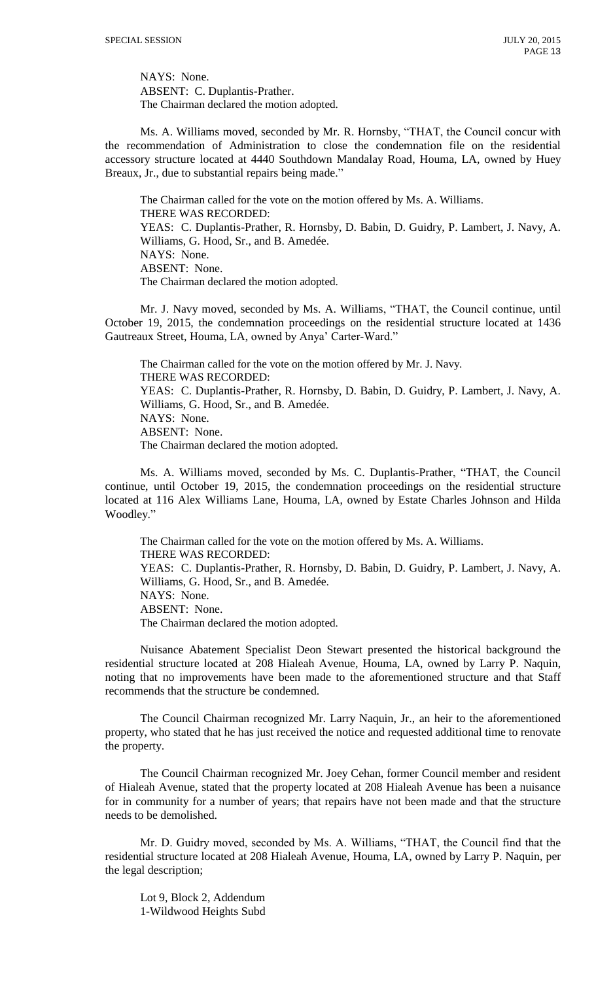NAYS: None. ABSENT: C. Duplantis-Prather. The Chairman declared the motion adopted.

Ms. A. Williams moved, seconded by Mr. R. Hornsby, "THAT, the Council concur with the recommendation of Administration to close the condemnation file on the residential accessory structure located at 4440 Southdown Mandalay Road, Houma, LA, owned by Huey Breaux, Jr., due to substantial repairs being made."

The Chairman called for the vote on the motion offered by Ms. A. Williams. THERE WAS RECORDED: YEAS: C. Duplantis-Prather, R. Hornsby, D. Babin, D. Guidry, P. Lambert, J. Navy, A. Williams, G. Hood, Sr., and B. Amedée. NAYS: None. ABSENT: None. The Chairman declared the motion adopted.

Mr. J. Navy moved, seconded by Ms. A. Williams, "THAT, the Council continue, until October 19, 2015, the condemnation proceedings on the residential structure located at 1436 Gautreaux Street, Houma, LA, owned by Anya' Carter-Ward."

The Chairman called for the vote on the motion offered by Mr. J. Navy. THERE WAS RECORDED: YEAS: C. Duplantis-Prather, R. Hornsby, D. Babin, D. Guidry, P. Lambert, J. Navy, A. Williams, G. Hood, Sr., and B. Amedée. NAYS: None. ABSENT: None. The Chairman declared the motion adopted.

Ms. A. Williams moved, seconded by Ms. C. Duplantis-Prather, "THAT, the Council continue, until October 19, 2015, the condemnation proceedings on the residential structure located at 116 Alex Williams Lane, Houma, LA, owned by Estate Charles Johnson and Hilda Woodley."

The Chairman called for the vote on the motion offered by Ms. A. Williams. THERE WAS RECORDED: YEAS: C. Duplantis-Prather, R. Hornsby, D. Babin, D. Guidry, P. Lambert, J. Navy, A. Williams, G. Hood, Sr., and B. Amedée. NAYS: None. ABSENT: None. The Chairman declared the motion adopted.

Nuisance Abatement Specialist Deon Stewart presented the historical background the residential structure located at 208 Hialeah Avenue, Houma, LA, owned by Larry P. Naquin, noting that no improvements have been made to the aforementioned structure and that Staff recommends that the structure be condemned.

The Council Chairman recognized Mr. Larry Naquin, Jr., an heir to the aforementioned property, who stated that he has just received the notice and requested additional time to renovate the property.

The Council Chairman recognized Mr. Joey Cehan, former Council member and resident of Hialeah Avenue, stated that the property located at 208 Hialeah Avenue has been a nuisance for in community for a number of years; that repairs have not been made and that the structure needs to be demolished.

Mr. D. Guidry moved, seconded by Ms. A. Williams, "THAT, the Council find that the residential structure located at 208 Hialeah Avenue, Houma, LA, owned by Larry P. Naquin, per the legal description;

Lot 9, Block 2, Addendum 1-Wildwood Heights Subd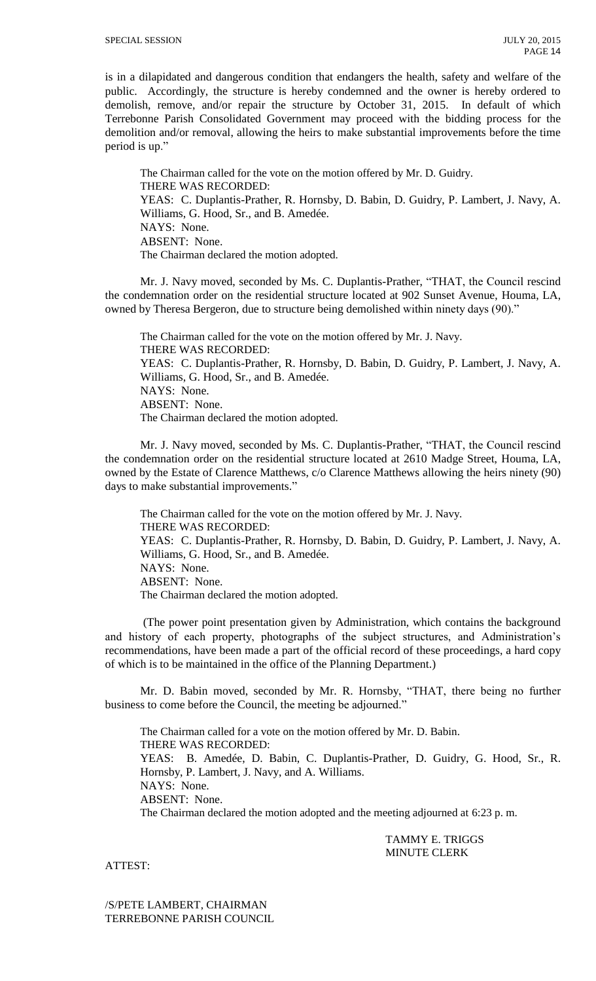is in a dilapidated and dangerous condition that endangers the health, safety and welfare of the public. Accordingly, the structure is hereby condemned and the owner is hereby ordered to demolish, remove, and/or repair the structure by October 31, 2015. In default of which Terrebonne Parish Consolidated Government may proceed with the bidding process for the demolition and/or removal, allowing the heirs to make substantial improvements before the time period is up."

The Chairman called for the vote on the motion offered by Mr. D. Guidry. THERE WAS RECORDED: YEAS: C. Duplantis-Prather, R. Hornsby, D. Babin, D. Guidry, P. Lambert, J. Navy, A. Williams, G. Hood, Sr., and B. Amedée. NAYS: None. ABSENT: None. The Chairman declared the motion adopted.

Mr. J. Navy moved, seconded by Ms. C. Duplantis-Prather, "THAT, the Council rescind the condemnation order on the residential structure located at 902 Sunset Avenue, Houma, LA, owned by Theresa Bergeron, due to structure being demolished within ninety days (90)."

The Chairman called for the vote on the motion offered by Mr. J. Navy. THERE WAS RECORDED: YEAS: C. Duplantis-Prather, R. Hornsby, D. Babin, D. Guidry, P. Lambert, J. Navy, A. Williams, G. Hood, Sr., and B. Amedée. NAYS: None. ABSENT: None. The Chairman declared the motion adopted.

Mr. J. Navy moved, seconded by Ms. C. Duplantis-Prather, "THAT, the Council rescind the condemnation order on the residential structure located at 2610 Madge Street, Houma, LA, owned by the Estate of Clarence Matthews, c/o Clarence Matthews allowing the heirs ninety (90) days to make substantial improvements."

The Chairman called for the vote on the motion offered by Mr. J. Navy. THERE WAS RECORDED: YEAS: C. Duplantis-Prather, R. Hornsby, D. Babin, D. Guidry, P. Lambert, J. Navy, A. Williams, G. Hood, Sr., and B. Amedée. NAYS: None. ABSENT: None. The Chairman declared the motion adopted.

(The power point presentation given by Administration, which contains the background and history of each property, photographs of the subject structures, and Administration's recommendations, have been made a part of the official record of these proceedings, a hard copy of which is to be maintained in the office of the Planning Department.)

Mr. D. Babin moved, seconded by Mr. R. Hornsby, "THAT, there being no further business to come before the Council, the meeting be adjourned."

The Chairman called for a vote on the motion offered by Mr. D. Babin. THERE WAS RECORDED: YEAS: B. Amedée, D. Babin, C. Duplantis-Prather, D. Guidry, G. Hood, Sr., R. Hornsby, P. Lambert, J. Navy, and A. Williams. NAYS: None. ABSENT: None. The Chairman declared the motion adopted and the meeting adjourned at 6:23 p. m.

> TAMMY E. TRIGGS MINUTE CLERK

ATTEST:

/S/PETE LAMBERT, CHAIRMAN TERREBONNE PARISH COUNCIL